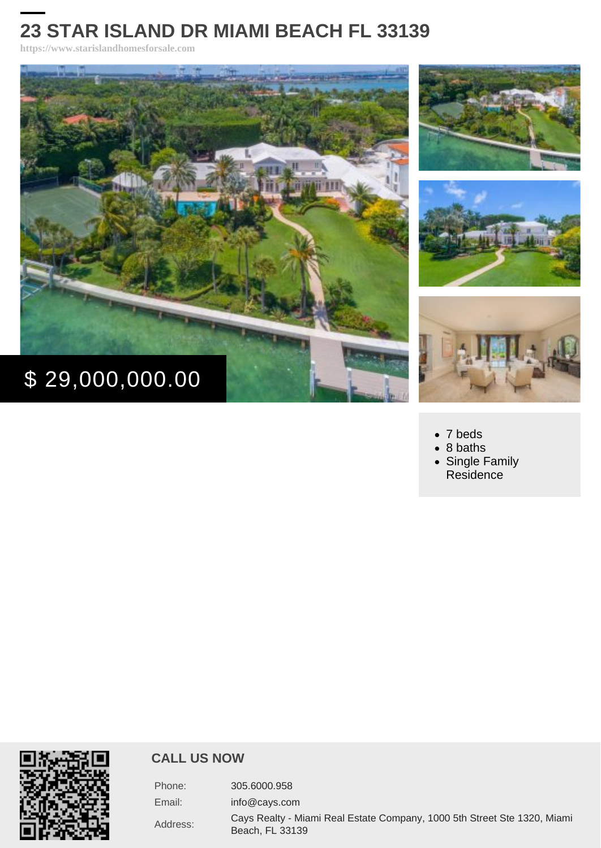## 23 STAR ISLAND DR MIAMI BEACH FL 33139

https://www.starislandhomesforsale.com

# \$ 29,000,000.00

- 7 beds
- 8 baths
- [Single Family](https://www.starislandhomesforsale.com/es_type/single-family-residence/) [Residence](https://www.starislandhomesforsale.com/es_type/single-family-residence/)

#### CALL US NOW

| Phone:   | 305.6000.958                                                                                |
|----------|---------------------------------------------------------------------------------------------|
| Email:   | info@cavs.com                                                                               |
| Address: | Cays Realty - Miami Real Estate Company, 1000 5th Street Ste 1320, Miami<br>Beach, FL 33139 |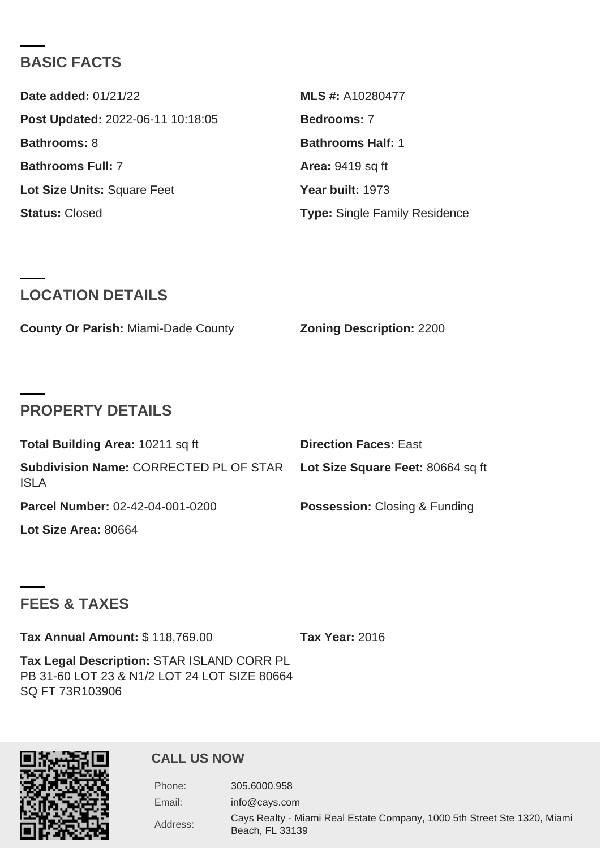## BASIC FACTS

| Date added: 01/21/22              | MLS #: A10280477                     |
|-----------------------------------|--------------------------------------|
| Post Updated: 2022-06-11 10:18:05 | Bedrooms: 7                          |
| Bathrooms: 8                      | Bathrooms Half: 1                    |
| Bathrooms Full: 7                 | Area: 9419 sq ft                     |
| Lot Size Units: Square Feet       | Year built: 1973                     |
| Status: Closed                    | <b>Type: Single Family Residence</b> |

#### LOCATION DETAILS

|  | County Or Parish: Miami-Dade County | Zoning Description: 2200 |  |
|--|-------------------------------------|--------------------------|--|
|--|-------------------------------------|--------------------------|--|

## PROPERTY DETAILS

| Total Building Area: 10211 sq ft                                                 | Direction Faces: East         |
|----------------------------------------------------------------------------------|-------------------------------|
| Subdivision Name: CORRECTED PL OF STAR Lot Size Square Feet: 80664 sq ft<br>ISLA |                               |
| Parcel Number: 02-42-04-001-0200                                                 | Possession: Closing & Funding |
| Lot Size Area: 80664                                                             |                               |

## FEES & TAXES

Tax Annual Amount: \$ 118,769.00 Tax Year: 2016

Tax Legal Description: STAR ISLAND CORR PL PB 31-60 LOT 23 & N1/2 LOT 24 LOT SIZE 80664 SQ FT 73R103906

#### CALL US NOW

| Phone:   | 305.6000.958                                                                                |
|----------|---------------------------------------------------------------------------------------------|
| Email:   | info@cays.com                                                                               |
| Address: | Cays Realty - Miami Real Estate Company, 1000 5th Street Ste 1320, Miami<br>Beach, FL 33139 |